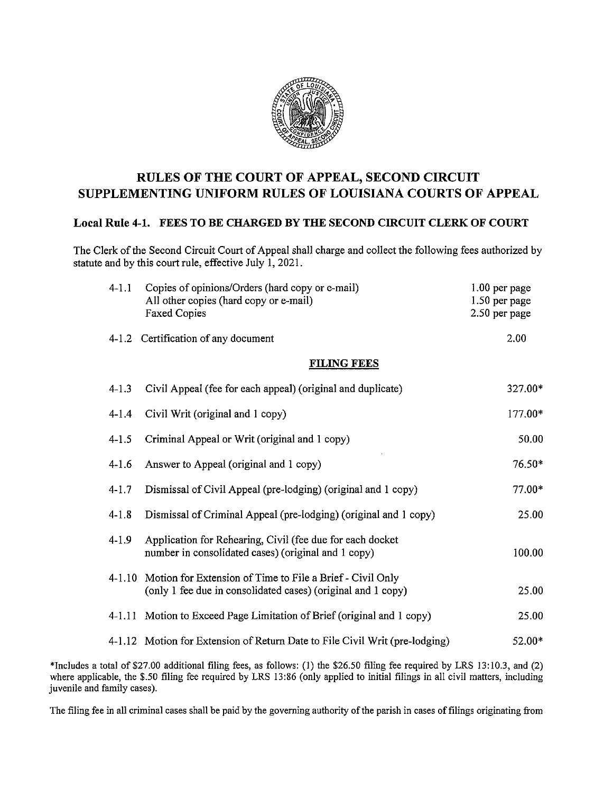

## RULES OF THE COURT OF APPEAL, SECOND CIRCUIT SUPPLEMENTING UNIFORM RULES OF LOUISIANA COURTS OF APPEAL

## Local Rule 4-1. FEES TO BE CHARGED BY THE SECOND CIRCUIT CLERK OF COURT

The Clerk of the Second Circuit Court of Appeal shall charge and collect the following fees authorized by statute and by this court rule, effective July 1, 2021.

| $4 - 11$           | Copies of opinions/Orders (hard copy or e-mail)<br>All other copies (hard copy or e-mail)<br><b>Faxed Copies</b>          | $1.00$ per page<br>1.50 per page<br>2.50 per page |
|--------------------|---------------------------------------------------------------------------------------------------------------------------|---------------------------------------------------|
|                    | 4-1.2 Certification of any document                                                                                       | 2.00                                              |
| <b>FILING FEES</b> |                                                                                                                           |                                                   |
| $4 - 1.3$          | Civil Appeal (fee for each appeal) (original and duplicate)                                                               | 327.00*                                           |
| $4 - 1.4$          | Civil Writ (original and 1 copy)                                                                                          | 177,00*                                           |
| $4 - 1.5$          | Criminal Appeal or Writ (original and 1 copy)                                                                             | 50.00                                             |
| $4 - 1.6$          | Answer to Appeal (original and 1 copy)                                                                                    | 76.50*                                            |
| $4 - 1.7$          | Dismissal of Civil Appeal (pre-lodging) (original and 1 copy)                                                             | $77.00*$                                          |
| $4 - 1.8$          | Dismissal of Criminal Appeal (pre-lodging) (original and 1 copy)                                                          | 25.00                                             |
| $4 - 1.9$          | Application for Rehearing, Civil (fee due for each docket<br>number in consolidated cases) (original and 1 copy)          | 100.00                                            |
| $4 - 1.10$         | Motion for Extension of Time to File a Brief - Civil Only<br>(only 1 fee due in consolidated cases) (original and 1 copy) | 25.00                                             |
| 4-1.11             | Motion to Exceed Page Limitation of Brief (original and 1 copy)                                                           | 25.00                                             |
|                    | 4-1.12 Motion for Extension of Return Date to File Civil Writ (pre-lodging)                                               | 52.00*                                            |

\*lncludes <sup>a</sup> total of \$27.00 additional filing fees, as follows: (1) the \$26.50 filing fee required by LRS 13:10.3, and (2) where applicable, the \$.50 filing fee required by LRS 13:86 (only applied to initial filings in all civil matters, including juvenile and family cases).

The filing fee in all criminal cases shall be paid by the governing authority of the parish in cases of filings originating from